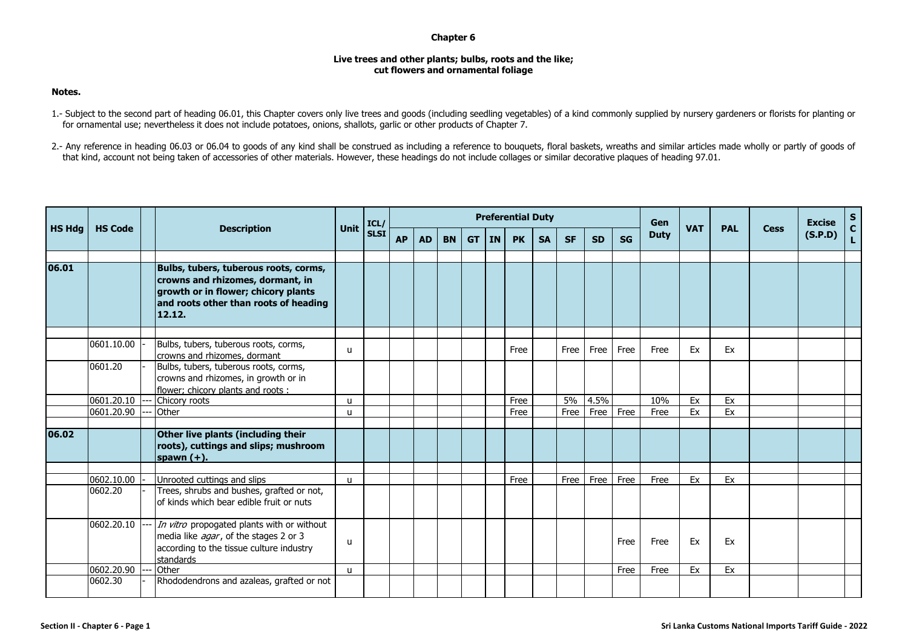## **Chapter 6**

## **Live trees and other plants; bulbs, roots and the like; cut flowers and ornamental foliage**

## **Notes.**

- 1.- Subject to the second part of heading 06.01, this Chapter covers only live trees and goods (including seedling vegetables) of a kind commonly supplied by nursery gardeners or florists for planting or for ornamental use; nevertheless it does not include potatoes, onions, shallots, garlic or other products of Chapter 7.
- 2.- Any reference in heading 06.03 or 06.04 to goods of any kind shall be construed as including a reference to bouguets, floral baskets, wreaths and similar articles made wholly or partly of goods of that kind, account not being taken of accessories of other materials. However, these headings do not include collages or similar decorative plaques of heading 97.01.

| <b>HS Hdg</b> | <b>HS Code</b> |  |                                                                                                                                                                     |              | ICL/        |           |           |           |           |           | <b>Preferential Duty</b> |           |           |           |           | Gen         |            |            |             | <b>Excise</b> | $S_{C}$      |
|---------------|----------------|--|---------------------------------------------------------------------------------------------------------------------------------------------------------------------|--------------|-------------|-----------|-----------|-----------|-----------|-----------|--------------------------|-----------|-----------|-----------|-----------|-------------|------------|------------|-------------|---------------|--------------|
|               |                |  | <b>Description</b>                                                                                                                                                  | <b>Unit</b>  | <b>SLSI</b> | <b>AP</b> | <b>AD</b> | <b>BN</b> | <b>GT</b> | <b>IN</b> | <b>PK</b>                | <b>SA</b> | <b>SF</b> | <b>SD</b> | <b>SG</b> | <b>Duty</b> | <b>VAT</b> | <b>PAL</b> | <b>Cess</b> | (S.P.D)       | $\mathbf{L}$ |
| 06.01         |                |  | Bulbs, tubers, tuberous roots, corms,<br>crowns and rhizomes, dormant, in<br>growth or in flower; chicory plants<br>and roots other than roots of heading<br>12.12. |              |             |           |           |           |           |           |                          |           |           |           |           |             |            |            |             |               |              |
|               | 0601.10.00     |  | Bulbs, tubers, tuberous roots, corms,<br>crowns and rhizomes, dormant                                                                                               | u            |             |           |           |           |           |           | Free                     |           | Free      | Free      | Free      | Free        | Ex         | Ex         |             |               |              |
|               | 0601.20        |  | Bulbs, tubers, tuberous roots, corms,<br>crowns and rhizomes, in growth or in<br>flower; chicory plants and roots:                                                  |              |             |           |           |           |           |           |                          |           |           |           |           |             |            |            |             |               |              |
|               | 0601.20.10     |  | Chicory roots                                                                                                                                                       | $\mathbf{u}$ |             |           |           |           |           |           | Free                     |           | 5%        | 4.5%      |           | 10%         | Ex         | Ex         |             |               |              |
|               | 0601.20.90     |  | Other                                                                                                                                                               | u            |             |           |           |           |           |           | Free                     |           | Free      | Free      | Free      | Free        | Ex         | Ex         |             |               |              |
| 06.02         |                |  | Other live plants (including their<br>roots), cuttings and slips; mushroom<br>spawn $(+)$ .                                                                         |              |             |           |           |           |           |           |                          |           |           |           |           |             |            |            |             |               |              |
|               |                |  |                                                                                                                                                                     |              |             |           |           |           |           |           |                          |           |           |           |           |             |            |            |             |               |              |
|               | 0602.10.00     |  | Unrooted cuttings and slips                                                                                                                                         | u            |             |           |           |           |           |           | Free                     |           | Free      | Free      | Free      | Free        | Ex         | Ex         |             |               |              |
|               | 0602.20        |  | Trees, shrubs and bushes, grafted or not,<br>of kinds which bear edible fruit or nuts                                                                               |              |             |           |           |           |           |           |                          |           |           |           |           |             |            |            |             |               |              |
|               | 0602.20.10     |  | In vitro propogated plants with or without<br>media like agar, of the stages 2 or 3<br>according to the tissue culture industry<br>standards                        | $\mathbf{U}$ |             |           |           |           |           |           |                          |           |           |           | Free      | Free        | Ex         | Ex         |             |               |              |
|               | 0602.20.90     |  | Other                                                                                                                                                               | u            |             |           |           |           |           |           |                          |           |           |           | Free      | Free        | Ex         | Ex         |             |               |              |
|               | 0602.30        |  | Rhododendrons and azaleas, grafted or not                                                                                                                           |              |             |           |           |           |           |           |                          |           |           |           |           |             |            |            |             |               |              |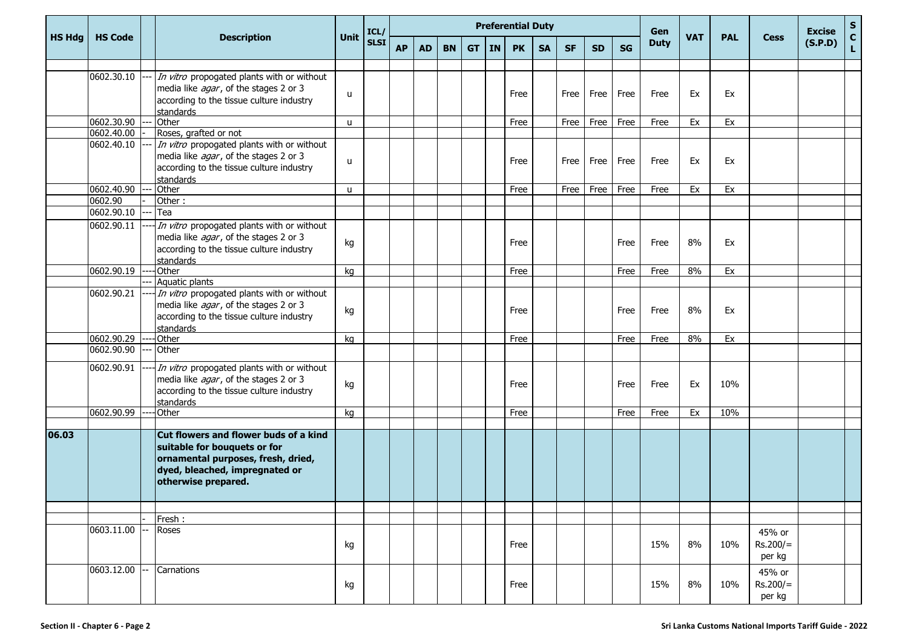| <b>HS Hdg</b> | <b>HS Code</b> |  | <b>Description</b>                         |      |              | <b>Preferential Duty</b> |           |           |           |           |           |           |           |           |      |                    |            |            |             | <b>Excise</b> | ${\sf s}$                       |
|---------------|----------------|--|--------------------------------------------|------|--------------|--------------------------|-----------|-----------|-----------|-----------|-----------|-----------|-----------|-----------|------|--------------------|------------|------------|-------------|---------------|---------------------------------|
|               |                |  |                                            | Unit | ICL/<br>SLSI | <b>AP</b>                | <b>AD</b> | <b>BN</b> | <b>GT</b> | <b>IN</b> | <b>PK</b> | <b>SA</b> | <b>SF</b> | <b>SD</b> | SG   | Gen<br><b>Duty</b> | <b>VAT</b> | <b>PAL</b> | <b>Cess</b> | (S.P.D)       | $\frac{\mathsf{c}}{\mathsf{L}}$ |
|               |                |  |                                            |      |              |                          |           |           |           |           |           |           |           |           |      |                    |            |            |             |               |                                 |
|               | 0602.30.10     |  | In vitro propogated plants with or without |      |              |                          |           |           |           |           |           |           |           |           |      |                    |            |            |             |               |                                 |
|               |                |  | media like agar, of the stages 2 or 3      | u    |              |                          |           |           |           |           | Free      |           | Free      | Free      | Free | Free               | Ex         | Ex         |             |               |                                 |
|               |                |  | according to the tissue culture industry   |      |              |                          |           |           |           |           |           |           |           |           |      |                    |            |            |             |               |                                 |
|               |                |  | standards                                  |      |              |                          |           |           |           |           |           |           |           |           |      |                    |            |            |             |               |                                 |
|               | 0602.30.90     |  | Other                                      | u    |              |                          |           |           |           |           | Free      |           | Free      | Free      | Free | Free               | Ex         | Ex         |             |               |                                 |
|               | 0602.40.00     |  | Roses, grafted or not                      |      |              |                          |           |           |           |           |           |           |           |           |      |                    |            |            |             |               |                                 |
|               | 0602.40.10     |  | In vitro propogated plants with or without |      |              |                          |           |           |           |           |           |           |           |           |      |                    |            |            |             |               |                                 |
|               |                |  | media like agar, of the stages 2 or 3      | u    |              |                          |           |           |           |           | Free      |           | Free      | Free      | Free | Free               | Ex         | Ex         |             |               |                                 |
|               |                |  | according to the tissue culture industry   |      |              |                          |           |           |           |           |           |           |           |           |      |                    |            |            |             |               |                                 |
|               |                |  | standards                                  |      |              |                          |           |           |           |           |           |           |           |           |      |                    |            |            |             |               |                                 |
|               | 0602.40.90     |  | Other                                      | u    |              |                          |           |           |           |           | Free      |           | Free      | Free      | Free | Free               | Ex         | Ex         |             |               |                                 |
|               | 0602.90        |  | Other:                                     |      |              |                          |           |           |           |           |           |           |           |           |      |                    |            |            |             |               |                                 |
|               | 0602.90.10     |  | Tea                                        |      |              |                          |           |           |           |           |           |           |           |           |      |                    |            |            |             |               |                                 |
|               | 0602.90.11     |  | In vitro propogated plants with or without |      |              |                          |           |           |           |           |           |           |           |           |      |                    |            |            |             |               |                                 |
|               |                |  | media like agar, of the stages 2 or 3      | kg   |              |                          |           |           |           |           | Free      |           |           |           | Free | Free               | 8%         | Ex         |             |               |                                 |
|               |                |  | according to the tissue culture industry   |      |              |                          |           |           |           |           |           |           |           |           |      |                    |            |            |             |               |                                 |
|               |                |  | standards                                  |      |              |                          |           |           |           |           |           |           |           |           |      |                    |            |            |             |               |                                 |
|               | 0602.90.19     |  | Other                                      | kg   |              |                          |           |           |           |           | Free      |           |           |           | Free | Free               | 8%         | Ex         |             |               |                                 |
|               |                |  | Aquatic plants                             |      |              |                          |           |           |           |           |           |           |           |           |      |                    |            |            |             |               |                                 |
|               | 0602.90.21     |  | In vitro propogated plants with or without |      |              |                          |           |           |           |           |           |           |           |           |      |                    |            |            |             |               |                                 |
|               |                |  | media like agar, of the stages 2 or 3      | kg   |              |                          |           |           |           |           | Free      |           |           |           | Free | Free               | 8%         | Ex         |             |               |                                 |
|               |                |  | according to the tissue culture industry   |      |              |                          |           |           |           |           |           |           |           |           |      |                    |            |            |             |               |                                 |
|               |                |  | standards                                  |      |              |                          |           |           |           |           |           |           |           |           |      |                    |            |            |             |               |                                 |
|               | 0602.90.29     |  | Other                                      | kg   |              |                          |           |           |           |           | Free      |           |           |           | Free | Free               | 8%         | Ex         |             |               |                                 |
|               | 0602.90.90     |  | Other                                      |      |              |                          |           |           |           |           |           |           |           |           |      |                    |            |            |             |               |                                 |
|               | 0602.90.91     |  | In vitro propogated plants with or without |      |              |                          |           |           |           |           |           |           |           |           |      |                    |            |            |             |               |                                 |
|               |                |  | media like agar, of the stages 2 or 3      |      |              |                          |           |           |           |           |           |           |           |           |      |                    |            |            |             |               |                                 |
|               |                |  | according to the tissue culture industry   | kg   |              |                          |           |           |           |           | Free      |           |           |           | Free | Free               | Ex         | 10%        |             |               |                                 |
|               |                |  | standards                                  |      |              |                          |           |           |           |           |           |           |           |           |      |                    |            |            |             |               |                                 |
|               | 0602.90.99     |  | Other                                      | kg   |              |                          |           |           |           |           | Free      |           |           |           | Free | Free               | Ex         | 10%        |             |               |                                 |
|               |                |  |                                            |      |              |                          |           |           |           |           |           |           |           |           |      |                    |            |            |             |               |                                 |
| 06.03         |                |  | Cut flowers and flower buds of a kind      |      |              |                          |           |           |           |           |           |           |           |           |      |                    |            |            |             |               |                                 |
|               |                |  | suitable for bouquets or for               |      |              |                          |           |           |           |           |           |           |           |           |      |                    |            |            |             |               |                                 |
|               |                |  | ornamental purposes, fresh, dried,         |      |              |                          |           |           |           |           |           |           |           |           |      |                    |            |            |             |               |                                 |
|               |                |  | dyed, bleached, impregnated or             |      |              |                          |           |           |           |           |           |           |           |           |      |                    |            |            |             |               |                                 |
|               |                |  | otherwise prepared.                        |      |              |                          |           |           |           |           |           |           |           |           |      |                    |            |            |             |               |                                 |
|               |                |  |                                            |      |              |                          |           |           |           |           |           |           |           |           |      |                    |            |            |             |               |                                 |
|               |                |  |                                            |      |              |                          |           |           |           |           |           |           |           |           |      |                    |            |            |             |               |                                 |
|               |                |  | Fresh:                                     |      |              |                          |           |           |           |           |           |           |           |           |      |                    |            |            |             |               |                                 |
|               | 0603.11.00     |  | Roses                                      |      |              |                          |           |           |           |           |           |           |           |           |      |                    |            |            | 45% or      |               |                                 |
|               |                |  |                                            | kg   |              |                          |           |           |           |           | Free      |           |           |           |      | 15%                | 8%         | 10%        | $Rs.200/=$  |               |                                 |
|               |                |  |                                            |      |              |                          |           |           |           |           |           |           |           |           |      |                    |            |            | per kg      |               |                                 |
|               |                |  |                                            |      |              |                          |           |           |           |           |           |           |           |           |      |                    |            |            |             |               |                                 |
|               | 0603.12.00     |  | Carnations                                 |      |              |                          |           |           |           |           |           |           |           |           |      |                    |            |            | 45% or      |               |                                 |
|               |                |  |                                            | kg   |              |                          |           |           |           |           | Free      |           |           |           |      | 15%                | 8%         | 10%        | $Rs.200/=$  |               |                                 |
|               |                |  |                                            |      |              |                          |           |           |           |           |           |           |           |           |      |                    |            |            | per kg      |               |                                 |